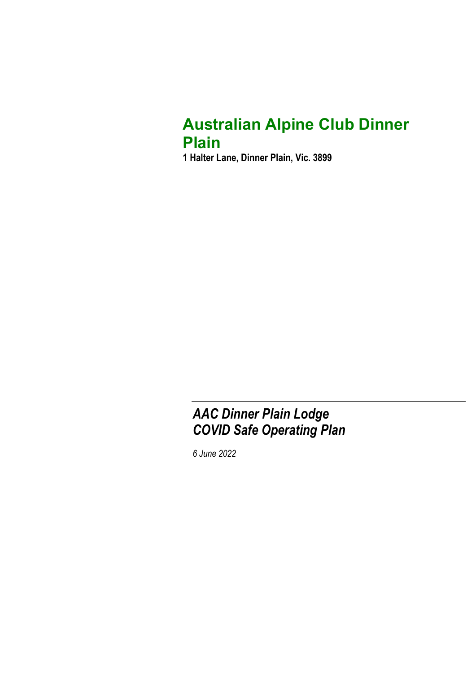## Australian Alpine Club Dinner Plain

1 Halter Lane, Dinner Plain, Vic. 3899

## AAC Dinner Plain Lodge COVID Safe Operating Plan

6 June 2022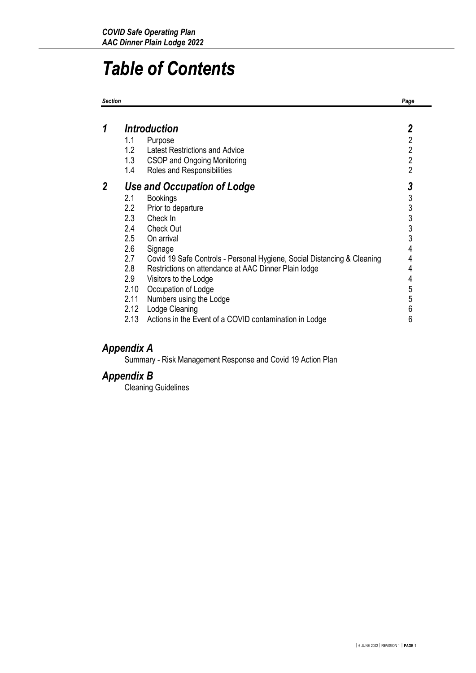## Table of Contents

| <b>Section</b> |                                                                                                           |                                                                                                                                                                                                                                                                                                                                                                                                                         | Page                                                                                           |
|----------------|-----------------------------------------------------------------------------------------------------------|-------------------------------------------------------------------------------------------------------------------------------------------------------------------------------------------------------------------------------------------------------------------------------------------------------------------------------------------------------------------------------------------------------------------------|------------------------------------------------------------------------------------------------|
| 1              | 1.1<br>1.2 <sub>2</sub><br>1.3<br>1.4                                                                     | <i><b>Introduction</b></i><br>Purpose<br><b>Latest Restrictions and Advice</b><br>CSOP and Ongoing Monitoring<br>Roles and Responsibilities                                                                                                                                                                                                                                                                             | 2<br>$\overline{2}$<br>$\overline{2}$<br>$\overline{2}$<br>$\overline{2}$                      |
| 2              | 2.1<br>$2.2\overline{ }$<br>2.3<br>2.4<br>2.5<br>2.6<br>2.7<br>2.8<br>2.9<br>2.10<br>2.11<br>2.12<br>2.13 | <b>Use and Occupation of Lodge</b><br><b>Bookings</b><br>Prior to departure<br>Check In<br>Check Out<br>On arrival<br>Signage<br>Covid 19 Safe Controls - Personal Hygiene, Social Distancing & Cleaning<br>Restrictions on attendance at AAC Dinner Plain lodge<br>Visitors to the Lodge<br>Occupation of Lodge<br>Numbers using the Lodge<br>Lodge Cleaning<br>Actions in the Event of a COVID contamination in Lodge | 3<br>$\begin{array}{c}\n3 \\ 3 \\ 3 \\ 3\n\end{array}$<br>4<br>4<br>4<br>4<br>5<br>5<br>6<br>6 |

## Appendix A

Summary - Risk Management Response and Covid 19 Action Plan

### Appendix B

Cleaning Guidelines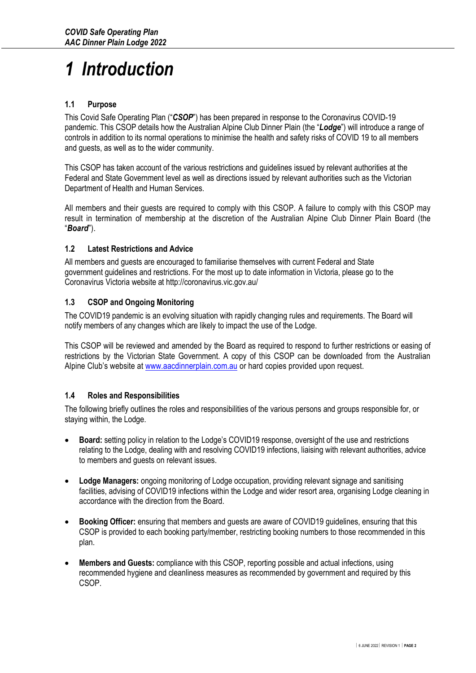# 1 Introduction

#### 1.1 Purpose

This Covid Safe Operating Plan ("CSOP") has been prepared in response to the Coronavirus COVID-19 pandemic. This CSOP details how the Australian Alpine Club Dinner Plain (the "Lodge") will introduce a range of controls in addition to its normal operations to minimise the health and safety risks of COVID 19 to all members and guests, as well as to the wider community.

This CSOP has taken account of the various restrictions and guidelines issued by relevant authorities at the Federal and State Government level as well as directions issued by relevant authorities such as the Victorian Department of Health and Human Services.

All members and their guests are required to comply with this CSOP. A failure to comply with this CSOP may result in termination of membership at the discretion of the Australian Alpine Club Dinner Plain Board (the "Board").

#### 1.2 Latest Restrictions and Advice

All members and guests are encouraged to familiarise themselves with current Federal and State government guidelines and restrictions. For the most up to date information in Victoria, please go to the Coronavirus Victoria website at http://coronavirus.vic.gov.au/

#### 1.3 CSOP and Ongoing Monitoring

The COVID19 pandemic is an evolving situation with rapidly changing rules and requirements. The Board will notify members of any changes which are likely to impact the use of the Lodge.

This CSOP will be reviewed and amended by the Board as required to respond to further restrictions or easing of restrictions by the Victorian State Government. A copy of this CSOP can be downloaded from the Australian Alpine Club's website at www.aacdinnerplain.com.au or hard copies provided upon request.

#### 1.4 Roles and Responsibilities

The following briefly outlines the roles and responsibilities of the various persons and groups responsible for, or staying within, the Lodge.

- Board: setting policy in relation to the Lodge's COVID19 response, oversight of the use and restrictions relating to the Lodge, dealing with and resolving COVID19 infections, liaising with relevant authorities, advice to members and guests on relevant issues.
- Lodge Managers: ongoing monitoring of Lodge occupation, providing relevant signage and sanitising facilities, advising of COVID19 infections within the Lodge and wider resort area, organising Lodge cleaning in accordance with the direction from the Board.
- Booking Officer: ensuring that members and guests are aware of COVID19 guidelines, ensuring that this CSOP is provided to each booking party/member, restricting booking numbers to those recommended in this plan.
- Members and Guests: compliance with this CSOP, reporting possible and actual infections, using recommended hygiene and cleanliness measures as recommended by government and required by this CSOP.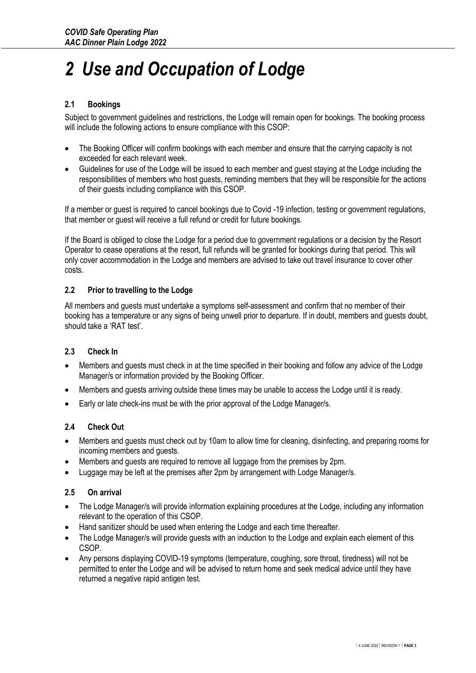# 2 Use and Occupation of Lodge

#### 2.1 Bookings

Subject to government guidelines and restrictions, the Lodge will remain open for bookings. The booking process will include the following actions to ensure compliance with this CSOP:

- The Booking Officer will confirm bookings with each member and ensure that the carrying capacity is not exceeded for each relevant week.
- Guidelines for use of the Lodge will be issued to each member and guest staying at the Lodge including the responsibilities of members who host guests, reminding members that they will be responsible for the actions of their guests including compliance with this CSOP.

If a member or guest is required to cancel bookings due to Covid -19 infection, testing or government regulations, that member or guest will receive a full refund or credit for future bookings.

If the Board is obliged to close the Lodge for a period due to government regulations or a decision by the Resort Operator to cease operations at the resort, full refunds will be granted for bookings during that period. This will only cover accommodation in the Lodge and members are advised to take out travel insurance to cover other costs.

#### 2.2 Prior to travelling to the Lodge

All members and guests must undertake a symptoms self-assessment and confirm that no member of their booking has a temperature or any signs of being unwell prior to departure. If in doubt, members and guests doubt, should take a 'RAT test'.

#### 2.3 Check In

- Members and guests must check in at the time specified in their booking and follow any advice of the Lodge Manager/s or information provided by the Booking Officer.
- Members and guests arriving outside these times may be unable to access the Lodge until it is ready.
- Early or late check-ins must be with the prior approval of the Lodge Manager/s.

#### 2.4 Check Out

- Members and guests must check out by 10am to allow time for cleaning, disinfecting, and preparing rooms for incoming members and guests.
- Members and guests are required to remove all luggage from the premises by 2pm.
- Luggage may be left at the premises after 2pm by arrangement with Lodge Manager/s.

#### 2.5 On arrival

- The Lodge Manager/s will provide information explaining procedures at the Lodge, including any information relevant to the operation of this CSOP.
- Hand sanitizer should be used when entering the Lodge and each time thereafter.
- The Lodge Manager/s will provide guests with an induction to the Lodge and explain each element of this CSOP.
- Any persons displaying COVID-19 symptoms (temperature, coughing, sore throat, tiredness) will not be permitted to enter the Lodge and will be advised to return home and seek medical advice until they have returned a negative rapid antigen test.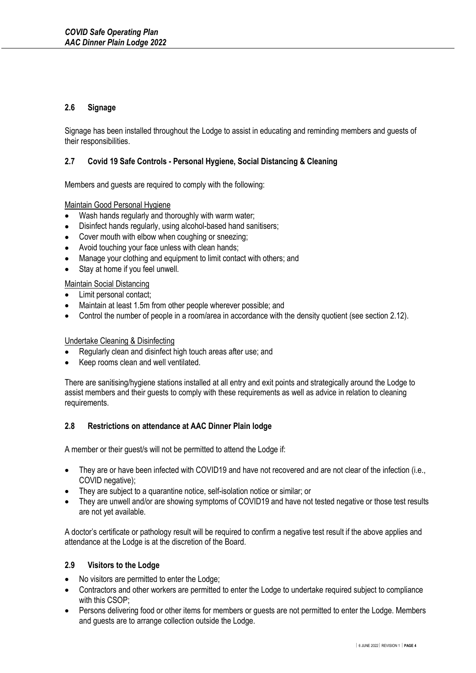#### 2.6 Signage

Signage has been installed throughout the Lodge to assist in educating and reminding members and guests of their responsibilities.

#### 2.7 Covid 19 Safe Controls - Personal Hygiene, Social Distancing & Cleaning

Members and guests are required to comply with the following:

#### Maintain Good Personal Hygiene

- Wash hands regularly and thoroughly with warm water;
- Disinfect hands regularly, using alcohol-based hand sanitisers;
- Cover mouth with elbow when coughing or sneezing;
- Avoid touching your face unless with clean hands;
- Manage your clothing and equipment to limit contact with others; and
- Stay at home if you feel unwell.

#### Maintain Social Distancing

- Limit personal contact;
- Maintain at least 1.5m from other people wherever possible; and
- Control the number of people in a room/area in accordance with the density quotient (see section 2.12).

#### Undertake Cleaning & Disinfecting

- Regularly clean and disinfect high touch areas after use; and
- Keep rooms clean and well ventilated.

There are sanitising/hygiene stations installed at all entry and exit points and strategically around the Lodge to assist members and their guests to comply with these requirements as well as advice in relation to cleaning requirements.

#### 2.8 Restrictions on attendance at AAC Dinner Plain lodge

A member or their guest/s will not be permitted to attend the Lodge if:

- They are or have been infected with COVID19 and have not recovered and are not clear of the infection (i.e., COVID negative);
- They are subject to a quarantine notice, self-isolation notice or similar; or
- They are unwell and/or are showing symptoms of COVID19 and have not tested negative or those test results are not yet available.

A doctor's certificate or pathology result will be required to confirm a negative test result if the above applies and attendance at the Lodge is at the discretion of the Board.

#### 2.9 Visitors to the Lodge

- No visitors are permitted to enter the Lodge;
- Contractors and other workers are permitted to enter the Lodge to undertake required subject to compliance with this CSOP;
- Persons delivering food or other items for members or guests are not permitted to enter the Lodge. Members and guests are to arrange collection outside the Lodge.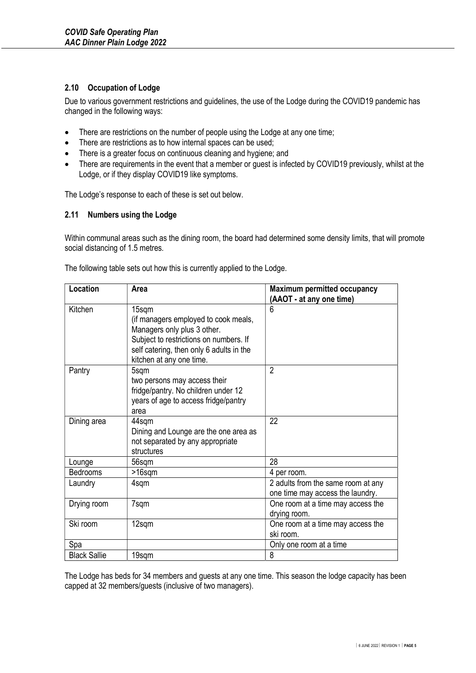#### 2.10 Occupation of Lodge

Due to various government restrictions and guidelines, the use of the Lodge during the COVID19 pandemic has changed in the following ways:

- There are restrictions on the number of people using the Lodge at any one time;
- There are restrictions as to how internal spaces can be used;
- There is a greater focus on continuous cleaning and hygiene; and
- There are requirements in the event that a member or guest is infected by COVID19 previously, whilst at the Lodge, or if they display COVID19 like symptoms.

The Lodge's response to each of these is set out below.

#### 2.11 Numbers using the Lodge

Within communal areas such as the dining room, the board had determined some density limits, that will promote social distancing of 1.5 metres.

| Location            | <b>Area</b>                                                                 | <b>Maximum permitted occupancy</b> |
|---------------------|-----------------------------------------------------------------------------|------------------------------------|
|                     |                                                                             | (AAOT - at any one time)           |
| Kitchen             | 15sqm<br>(if managers employed to cook meals,                               | 6                                  |
|                     | Managers only plus 3 other.                                                 |                                    |
|                     | Subject to restrictions on numbers. If                                      |                                    |
|                     | self catering, then only 6 adults in the                                    |                                    |
|                     | kitchen at any one time.                                                    |                                    |
| Pantry              | 5sqm                                                                        | $\overline{2}$                     |
|                     | two persons may access their                                                |                                    |
|                     | fridge/pantry. No children under 12<br>years of age to access fridge/pantry |                                    |
|                     | area                                                                        |                                    |
| Dining area         | 44sqm                                                                       | 22                                 |
|                     | Dining and Lounge are the one area as                                       |                                    |
|                     | not separated by any appropriate                                            |                                    |
|                     | structures                                                                  |                                    |
| Lounge              | 56sqm                                                                       | 28                                 |
| Bedrooms            | $>16$ sqm                                                                   | 4 per room.                        |
| Laundry             | 4sqm                                                                        | 2 adults from the same room at any |
|                     |                                                                             | one time may access the laundry.   |
| Drying room         | 7sqm                                                                        | One room at a time may access the  |
|                     |                                                                             | drying room.                       |
| Ski room            | 12sqm                                                                       | One room at a time may access the  |
|                     |                                                                             | ski room.                          |
| Spa                 |                                                                             | Only one room at a time            |
| <b>Black Sallie</b> | 19sqm                                                                       | 8                                  |

The following table sets out how this is currently applied to the Lodge.

The Lodge has beds for 34 members and guests at any one time. This season the lodge capacity has been capped at 32 members/guests (inclusive of two managers).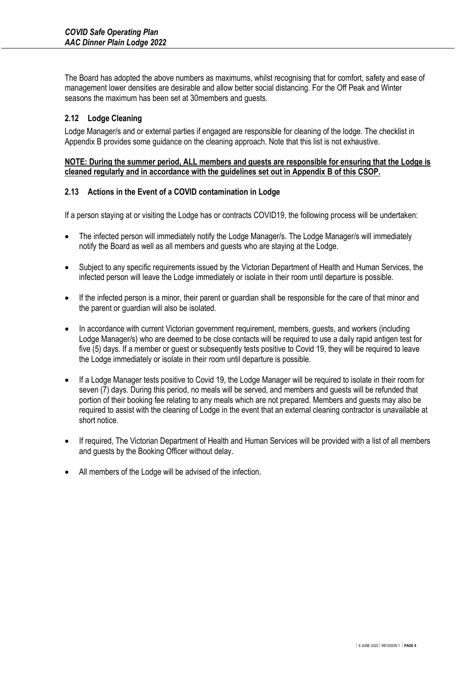The Board has adopted the above numbers as maximums, whilst recognising that for comfort, safety and ease of management lower densities are desirable and allow better social distancing. For the Off Peak and Winter seasons the maximum has been set at 30members and guests.

#### 2.12 Lodge Cleaning

Lodge Manager/s and or external parties if engaged are responsible for cleaning of the lodge. The checklist in Appendix B provides some guidance on the cleaning approach. Note that this list is not exhaustive.

#### NOTE: During the summer period, ALL members and guests are responsible for ensuring that the Lodge is cleaned regularly and in accordance with the guidelines set out in Appendix B of this CSOP.

#### 2.13 Actions in the Event of a COVID contamination in Lodge

If a person staying at or visiting the Lodge has or contracts COVID19, the following process will be undertaken:

- The infected person will immediately notify the Lodge Manager/s. The Lodge Manager/s will immediately notify the Board as well as all members and guests who are staying at the Lodge.
- Subject to any specific requirements issued by the Victorian Department of Health and Human Services, the infected person will leave the Lodge immediately or isolate in their room until departure is possible.
- If the infected person is a minor, their parent or guardian shall be responsible for the care of that minor and the parent or guardian will also be isolated.
- In accordance with current Victorian government requirement, members, guests, and workers (including Lodge Manager/s) who are deemed to be close contacts will be required to use a daily rapid antigen test for five (5) days. If a member or quest or subsequently tests positive to Covid 19, they will be required to leave the Lodge immediately or isolate in their room until departure is possible.
- If a Lodge Manager tests positive to Covid 19, the Lodge Manager will be required to isolate in their room for seven (7) days. During this period, no meals will be served, and members and guests will be refunded that portion of their booking fee relating to any meals which are not prepared. Members and guests may also be required to assist with the cleaning of Lodge in the event that an external cleaning contractor is unavailable at short notice.
- If required, The Victorian Department of Health and Human Services will be provided with a list of all members and guests by the Booking Officer without delay.
- All members of the Lodge will be advised of the infection.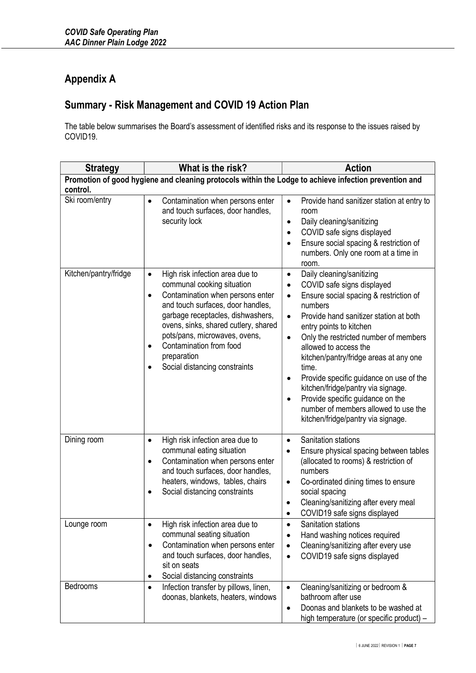## Appendix A

## Summary - Risk Management and COVID 19 Action Plan

The table below summarises the Board's assessment of identified risks and its response to the issues raised by COVID19.

| What is the risk?<br><b>Strategy</b>                                                                              |                                                                                                                                                                                                                                                                                                                                                                                     | <b>Action</b>                                                                                                                                                                                                                                                                                                                                                                                                                                                                                                                                                                                        |  |
|-------------------------------------------------------------------------------------------------------------------|-------------------------------------------------------------------------------------------------------------------------------------------------------------------------------------------------------------------------------------------------------------------------------------------------------------------------------------------------------------------------------------|------------------------------------------------------------------------------------------------------------------------------------------------------------------------------------------------------------------------------------------------------------------------------------------------------------------------------------------------------------------------------------------------------------------------------------------------------------------------------------------------------------------------------------------------------------------------------------------------------|--|
| Promotion of good hygiene and cleaning protocols within the Lodge to achieve infection prevention and<br>control. |                                                                                                                                                                                                                                                                                                                                                                                     |                                                                                                                                                                                                                                                                                                                                                                                                                                                                                                                                                                                                      |  |
| Ski room/entry                                                                                                    | Contamination when persons enter<br>$\bullet$<br>and touch surfaces, door handles,<br>security lock                                                                                                                                                                                                                                                                                 | Provide hand sanitizer station at entry to<br>$\bullet$<br>room<br>Daily cleaning/sanitizing<br>$\bullet$<br>COVID safe signs displayed<br>$\bullet$<br>Ensure social spacing & restriction of<br>$\bullet$<br>numbers. Only one room at a time in<br>room.                                                                                                                                                                                                                                                                                                                                          |  |
| Kitchen/pantry/fridge                                                                                             | High risk infection area due to<br>$\bullet$<br>communal cooking situation<br>Contamination when persons enter<br>$\bullet$<br>and touch surfaces, door handles,<br>garbage receptacles, dishwashers,<br>ovens, sinks, shared cutlery, shared<br>pots/pans, microwaves, ovens,<br>Contamination from food<br>$\bullet$<br>preparation<br>Social distancing constraints<br>$\bullet$ | Daily cleaning/sanitizing<br>$\bullet$<br>COVID safe signs displayed<br>$\bullet$<br>Ensure social spacing & restriction of<br>$\bullet$<br>numbers<br>Provide hand sanitizer station at both<br>$\bullet$<br>entry points to kitchen<br>Only the restricted number of members<br>$\bullet$<br>allowed to access the<br>kitchen/pantry/fridge areas at any one<br>time.<br>Provide specific guidance on use of the<br>$\bullet$<br>kitchen/fridge/pantry via signage.<br>Provide specific guidance on the<br>$\bullet$<br>number of members allowed to use the<br>kitchen/fridge/pantry via signage. |  |
| Dining room                                                                                                       | High risk infection area due to<br>$\bullet$<br>communal eating situation<br>Contamination when persons enter<br>$\bullet$<br>and touch surfaces, door handles,<br>heaters, windows, tables, chairs<br>Social distancing constraints<br>$\bullet$                                                                                                                                   | Sanitation stations<br>$\bullet$<br>Ensure physical spacing between tables<br>$\bullet$<br>(allocated to rooms) & restriction of<br>numbers<br>Co-ordinated dining times to ensure<br>٠<br>social spacing<br>Cleaning/sanitizing after every meal<br>$\bullet$<br>COVID19 safe signs displayed                                                                                                                                                                                                                                                                                                       |  |
| Lounge room                                                                                                       | High risk infection area due to<br>٠<br>communal seating situation<br>Contamination when persons enter<br>$\bullet$<br>and touch surfaces, door handles,<br>sit on seats<br>Social distancing constraints<br>٠                                                                                                                                                                      | Sanitation stations<br>٠<br>Hand washing notices required<br>Cleaning/sanitizing after every use<br>$\bullet$<br>COVID19 safe signs displayed<br>$\bullet$                                                                                                                                                                                                                                                                                                                                                                                                                                           |  |
| Bedrooms                                                                                                          | Infection transfer by pillows, linen,<br>$\bullet$<br>doonas, blankets, heaters, windows                                                                                                                                                                                                                                                                                            | Cleaning/sanitizing or bedroom &<br>$\bullet$<br>bathroom after use<br>Doonas and blankets to be washed at<br>$\bullet$<br>high temperature (or specific product) -                                                                                                                                                                                                                                                                                                                                                                                                                                  |  |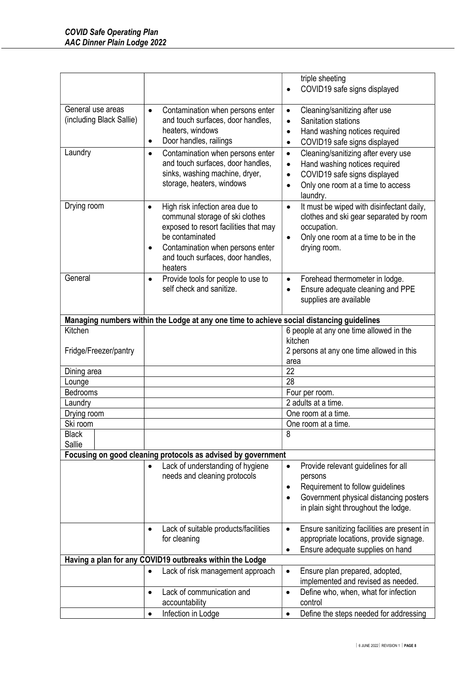|                                                                         |                                                                                                                                                                                                                                                                                                                                                                                                                                | triple sheeting                                                                                                                                                                                                                                                                                                                                                                                                                                                                                           |  |
|-------------------------------------------------------------------------|--------------------------------------------------------------------------------------------------------------------------------------------------------------------------------------------------------------------------------------------------------------------------------------------------------------------------------------------------------------------------------------------------------------------------------|-----------------------------------------------------------------------------------------------------------------------------------------------------------------------------------------------------------------------------------------------------------------------------------------------------------------------------------------------------------------------------------------------------------------------------------------------------------------------------------------------------------|--|
|                                                                         |                                                                                                                                                                                                                                                                                                                                                                                                                                | COVID19 safe signs displayed<br>$\bullet$                                                                                                                                                                                                                                                                                                                                                                                                                                                                 |  |
| General use areas<br>(including Black Sallie)<br>Laundry<br>Drying room | Contamination when persons enter<br>$\bullet$<br>and touch surfaces, door handles,<br>heaters, windows<br>Door handles, railings<br>$\bullet$<br>Contamination when persons enter<br>$\bullet$<br>and touch surfaces, door handles,<br>sinks, washing machine, dryer,<br>storage, heaters, windows<br>High risk infection area due to<br>$\bullet$<br>communal storage of ski clothes<br>exposed to resort facilities that may | Cleaning/sanitizing after use<br>$\bullet$<br>Sanitation stations<br>$\bullet$<br>Hand washing notices required<br>$\bullet$<br>COVID19 safe signs displayed<br>$\bullet$<br>Cleaning/sanitizing after every use<br>$\bullet$<br>Hand washing notices required<br>$\bullet$<br>COVID19 safe signs displayed<br>$\bullet$<br>Only one room at a time to access<br>$\bullet$<br>laundry.<br>It must be wiped with disinfectant daily,<br>$\bullet$<br>clothes and ski gear separated by room<br>occupation. |  |
|                                                                         | be contaminated<br>Contamination when persons enter<br>$\bullet$<br>and touch surfaces, door handles,<br>heaters                                                                                                                                                                                                                                                                                                               | Only one room at a time to be in the<br>$\bullet$<br>drying room.                                                                                                                                                                                                                                                                                                                                                                                                                                         |  |
| General                                                                 | Provide tools for people to use to<br>$\bullet$<br>self check and sanitize.                                                                                                                                                                                                                                                                                                                                                    | Forehead thermometer in lodge.<br>٠<br>Ensure adequate cleaning and PPE<br>supplies are available                                                                                                                                                                                                                                                                                                                                                                                                         |  |
|                                                                         | Managing numbers within the Lodge at any one time to achieve social distancing guidelines                                                                                                                                                                                                                                                                                                                                      |                                                                                                                                                                                                                                                                                                                                                                                                                                                                                                           |  |
| Kitchen                                                                 |                                                                                                                                                                                                                                                                                                                                                                                                                                | 6 people at any one time allowed in the                                                                                                                                                                                                                                                                                                                                                                                                                                                                   |  |
| Fridge/Freezer/pantry                                                   |                                                                                                                                                                                                                                                                                                                                                                                                                                | kitchen<br>2 persons at any one time allowed in this<br>area                                                                                                                                                                                                                                                                                                                                                                                                                                              |  |
| Dining area                                                             |                                                                                                                                                                                                                                                                                                                                                                                                                                | 22                                                                                                                                                                                                                                                                                                                                                                                                                                                                                                        |  |
| Lounge                                                                  |                                                                                                                                                                                                                                                                                                                                                                                                                                | 28                                                                                                                                                                                                                                                                                                                                                                                                                                                                                                        |  |
| Bedrooms                                                                |                                                                                                                                                                                                                                                                                                                                                                                                                                | Four per room.                                                                                                                                                                                                                                                                                                                                                                                                                                                                                            |  |
| Laundry                                                                 |                                                                                                                                                                                                                                                                                                                                                                                                                                | 2 adults at a time.                                                                                                                                                                                                                                                                                                                                                                                                                                                                                       |  |
| Drying room                                                             |                                                                                                                                                                                                                                                                                                                                                                                                                                | One room at a time.                                                                                                                                                                                                                                                                                                                                                                                                                                                                                       |  |
| Ski room                                                                |                                                                                                                                                                                                                                                                                                                                                                                                                                | One room at a time.                                                                                                                                                                                                                                                                                                                                                                                                                                                                                       |  |
| <b>Black</b>                                                            |                                                                                                                                                                                                                                                                                                                                                                                                                                | 8                                                                                                                                                                                                                                                                                                                                                                                                                                                                                                         |  |
| Sallie                                                                  |                                                                                                                                                                                                                                                                                                                                                                                                                                |                                                                                                                                                                                                                                                                                                                                                                                                                                                                                                           |  |
|                                                                         | Focusing on good cleaning protocols as advised by government                                                                                                                                                                                                                                                                                                                                                                   |                                                                                                                                                                                                                                                                                                                                                                                                                                                                                                           |  |
|                                                                         | Lack of understanding of hygiene<br>needs and cleaning protocols                                                                                                                                                                                                                                                                                                                                                               | Provide relevant guidelines for all<br>$\bullet$<br>persons<br>Requirement to follow guidelines<br>$\bullet$<br>Government physical distancing posters<br>$\bullet$<br>in plain sight throughout the lodge.                                                                                                                                                                                                                                                                                               |  |
|                                                                         | Lack of suitable products/facilities<br>$\bullet$<br>for cleaning                                                                                                                                                                                                                                                                                                                                                              | Ensure sanitizing facilities are present in<br>$\bullet$<br>appropriate locations, provide signage.<br>Ensure adequate supplies on hand<br>$\bullet$                                                                                                                                                                                                                                                                                                                                                      |  |
| Having a plan for any COVID19 outbreaks within the Lodge                |                                                                                                                                                                                                                                                                                                                                                                                                                                |                                                                                                                                                                                                                                                                                                                                                                                                                                                                                                           |  |
|                                                                         | Lack of risk management approach                                                                                                                                                                                                                                                                                                                                                                                               | Ensure plan prepared, adopted,<br>$\bullet$<br>implemented and revised as needed.                                                                                                                                                                                                                                                                                                                                                                                                                         |  |
|                                                                         | Lack of communication and<br>$\bullet$<br>accountability                                                                                                                                                                                                                                                                                                                                                                       | Define who, when, what for infection<br>$\bullet$<br>control                                                                                                                                                                                                                                                                                                                                                                                                                                              |  |
|                                                                         | Infection in Lodge<br>$\bullet$                                                                                                                                                                                                                                                                                                                                                                                                | Define the steps needed for addressing<br>$\bullet$                                                                                                                                                                                                                                                                                                                                                                                                                                                       |  |
|                                                                         |                                                                                                                                                                                                                                                                                                                                                                                                                                |                                                                                                                                                                                                                                                                                                                                                                                                                                                                                                           |  |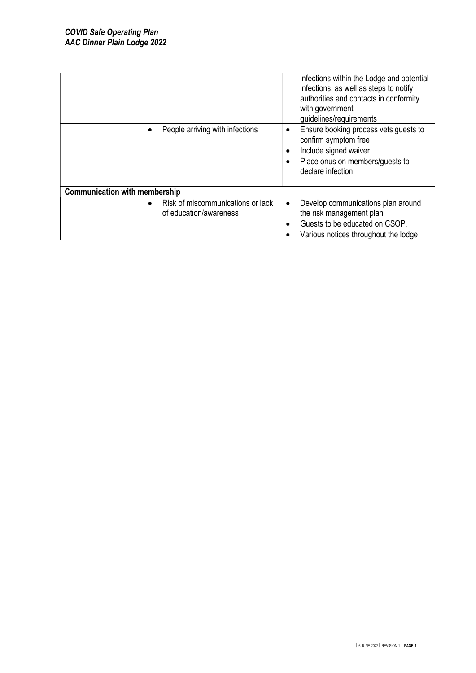|                                      |                                                             | infections within the Lodge and potential<br>infections, as well as steps to notify<br>authorities and contacts in conformity<br>with government<br>guidelines/requirements |
|--------------------------------------|-------------------------------------------------------------|-----------------------------------------------------------------------------------------------------------------------------------------------------------------------------|
|                                      | People arriving with infections                             | Ensure booking process vets guests to<br>$\bullet$<br>confirm symptom free<br>Include signed waiver<br>Place onus on members/guests to<br>declare infection                 |
| <b>Communication with membership</b> |                                                             |                                                                                                                                                                             |
|                                      | Risk of miscommunications or lack<br>of education/awareness | Develop communications plan around<br>$\bullet$<br>the risk management plan<br>Guests to be educated on CSOP.<br>Various notices throughout the lodge                       |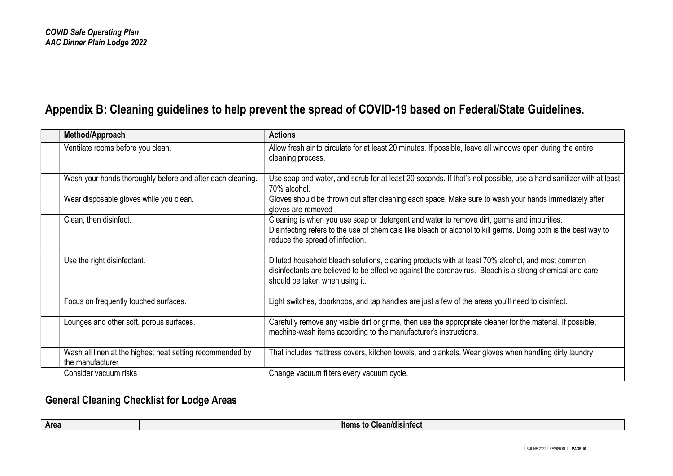## Appendix B: Cleaning guidelines to help prevent the spread of COVID-19 based on Federal/State Guidelines.

| Method/Approach                                                               | <b>Actions</b>                                                                                                                                                                                                                                   |
|-------------------------------------------------------------------------------|--------------------------------------------------------------------------------------------------------------------------------------------------------------------------------------------------------------------------------------------------|
| Ventilate rooms before you clean.                                             | Allow fresh air to circulate for at least 20 minutes. If possible, leave all windows open during the entire<br>cleaning process.                                                                                                                 |
| Wash your hands thoroughly before and after each cleaning.                    | Use soap and water, and scrub for at least 20 seconds. If that's not possible, use a hand sanitizer with at least<br>70% alcohol.                                                                                                                |
| Wear disposable gloves while you clean.                                       | Gloves should be thrown out after cleaning each space. Make sure to wash your hands immediately after<br>gloves are removed                                                                                                                      |
| Clean, then disinfect.                                                        | Cleaning is when you use soap or detergent and water to remove dirt, germs and impurities.<br>Disinfecting refers to the use of chemicals like bleach or alcohol to kill germs. Doing both is the best way to<br>reduce the spread of infection. |
| Use the right disinfectant.                                                   | Diluted household bleach solutions, cleaning products with at least 70% alcohol, and most common<br>disinfectants are believed to be effective against the coronavirus. Bleach is a strong chemical and care<br>should be taken when using it.   |
| Focus on frequently touched surfaces.                                         | Light switches, doorknobs, and tap handles are just a few of the areas you'll need to disinfect.                                                                                                                                                 |
| Lounges and other soft, porous surfaces.                                      | Carefully remove any visible dirt or grime, then use the appropriate cleaner for the material. If possible,<br>machine-wash items according to the manufacturer's instructions.                                                                  |
| Wash all linen at the highest heat setting recommended by<br>the manufacturer | That includes mattress covers, kitchen towels, and blankets. Wear gloves when handling dirty laundry.                                                                                                                                            |
| Consider vacuum risks                                                         | Change vacuum filters every vacuum cycle.                                                                                                                                                                                                        |

## General Cleaning Checklist for Lodge Areas

| Area<br>ltems<br>ean/disintect<br>. . |
|---------------------------------------|
|---------------------------------------|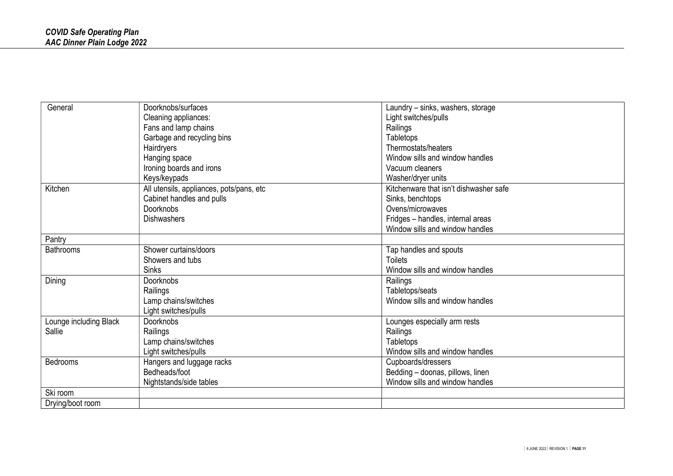| General                | Doorknobs/surfaces                       | Laundry - sinks, washers, storage      |
|------------------------|------------------------------------------|----------------------------------------|
|                        | Cleaning appliances:                     | Light switches/pulls                   |
|                        | Fans and lamp chains                     | Railings                               |
|                        | Garbage and recycling bins               | Tabletops                              |
|                        | Hairdryers                               | Thermostats/heaters                    |
|                        | Hanging space                            | Window sills and window handles        |
|                        | Ironing boards and irons                 | Vacuum cleaners                        |
|                        | Keys/keypads                             | Washer/dryer units                     |
| Kitchen                | All utensils, appliances, pots/pans, etc | Kitchenware that isn't dishwasher safe |
|                        | Cabinet handles and pulls                | Sinks, benchtops                       |
|                        | <b>Doorknobs</b>                         | Ovens/microwaves                       |
|                        | <b>Dishwashers</b>                       | Fridges - handles, internal areas      |
|                        |                                          | Window sills and window handles        |
| Pantry                 |                                          |                                        |
| <b>Bathrooms</b>       | Shower curtains/doors                    | Tap handles and spouts                 |
|                        | Showers and tubs                         | <b>Toilets</b>                         |
|                        | <b>Sinks</b>                             | Window sills and window handles        |
| Dining                 | <b>Doorknobs</b>                         | Railings                               |
|                        | Railings                                 | Tabletops/seats                        |
|                        | Lamp chains/switches                     | Window sills and window handles        |
|                        | Light switches/pulls                     |                                        |
| Lounge including Black | <b>Doorknobs</b>                         | Lounges especially arm rests           |
| Sallie                 | Railings                                 | Railings                               |
|                        | Lamp chains/switches                     | Tabletops                              |
|                        | Light switches/pulls                     | Window sills and window handles        |
| <b>Bedrooms</b>        | Hangers and luggage racks                | Cupboards/dressers                     |
|                        | Bedheads/foot                            | Bedding - doonas, pillows, linen       |
|                        | Nightstands/side tables                  | Window sills and window handles        |
| Ski room               |                                          |                                        |
| Drying/boot room       |                                          |                                        |
|                        |                                          |                                        |